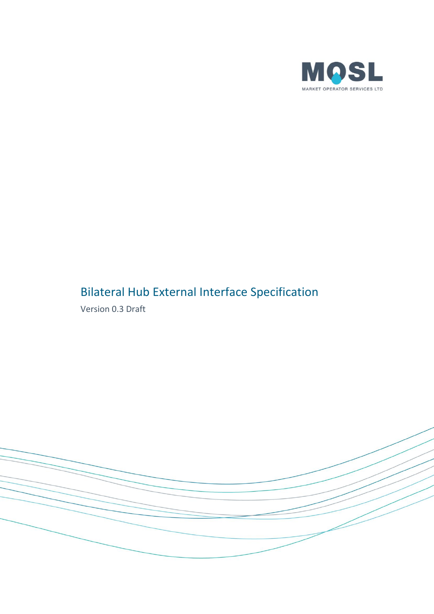

# Bilateral Hub External Interface Specification

Version 0.3 Draft

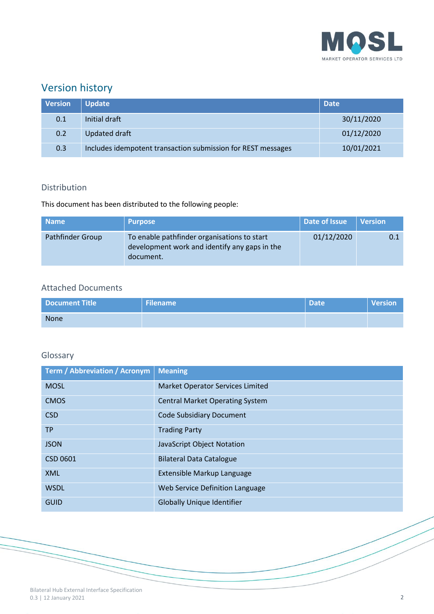

## Version history

| <b>Version</b> | <b>Update</b>                                                | <b>Date</b> |
|----------------|--------------------------------------------------------------|-------------|
| 0.1            | Initial draft                                                | 30/11/2020  |
| 0.2            | <b>Updated draft</b>                                         | 01/12/2020  |
| 0.3            | Includes idempotent transaction submission for REST messages | 10/01/2021  |

### Distribution

This document has been distributed to the following people:

| <b>Name</b>      | <b>Purpose</b>                                                                                            | Date of Issue | <b>Version</b> |
|------------------|-----------------------------------------------------------------------------------------------------------|---------------|----------------|
| Pathfinder Group | To enable pathfinder organisations to start<br>development work and identify any gaps in the<br>document. | 01/12/2020    | 0.1            |

## Attached Documents

| <b>Document Title</b> | <b>Filename</b> | Date <sup>1</sup> | <b>Version</b> |
|-----------------------|-----------------|-------------------|----------------|
| <b>None</b>           |                 |                   |                |

## Glossary

| <b>Term / Abbreviation / Acronym</b> | <b>Meaning</b>                         |
|--------------------------------------|----------------------------------------|
| <b>MOSL</b>                          | Market Operator Services Limited       |
| <b>CMOS</b>                          | <b>Central Market Operating System</b> |
| <b>CSD</b>                           | <b>Code Subsidiary Document</b>        |
| <b>TP</b>                            | <b>Trading Party</b>                   |
| <b>JSON</b>                          | JavaScript Object Notation             |
| CSD 0601                             | <b>Bilateral Data Catalogue</b>        |
| <b>XML</b>                           | Extensible Markup Language             |
| <b>WSDL</b>                          | <b>Web Service Definition Language</b> |
| <b>GUID</b>                          | <b>Globally Unique Identifier</b>      |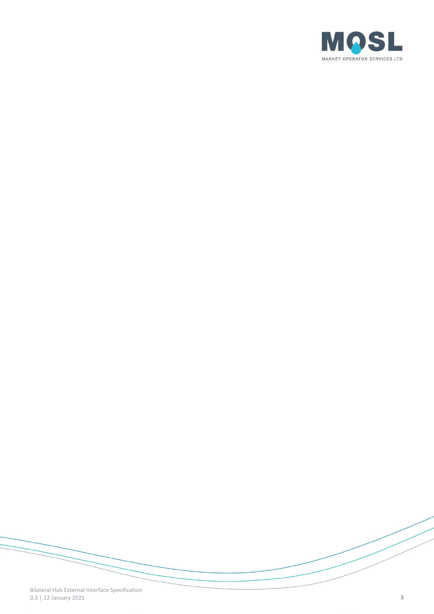

Bilateral Hub External Interface Specification 0. 3 | 12 January 2021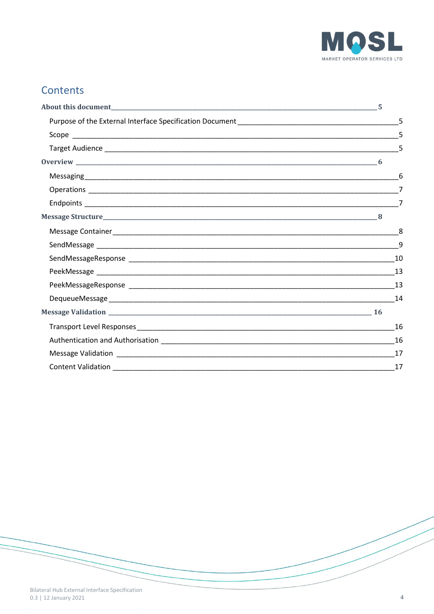

## Contents

| $\overline{7}$ |
|----------------|
|                |
|                |
| 9              |
|                |
| 13             |
|                |
| 14             |
|                |
| 16             |
| 16             |
|                |
| 17             |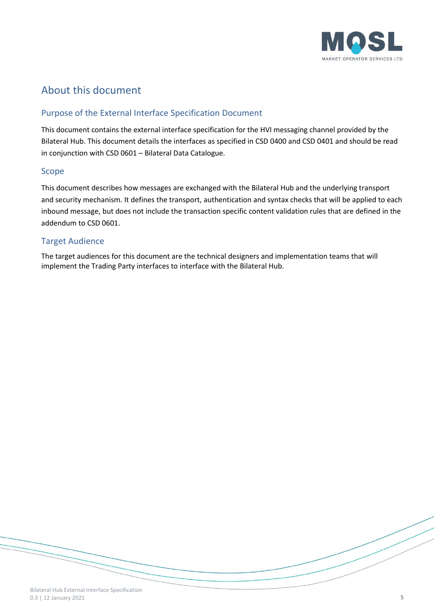

## <span id="page-4-0"></span>About this document

### <span id="page-4-1"></span>Purpose of the External Interface Specification Document

This document contains the external interface specification for the HVI messaging channel provided by the Bilateral Hub. This document details the interfaces as specified in CSD 0400 and CSD 0401 and should be read in conjunction with CSD 0601 – Bilateral Data Catalogue.

#### <span id="page-4-2"></span>Scope

This document describes how messages are exchanged with the Bilateral Hub and the underlying transport and security mechanism. It defines the transport, authentication and syntax checks that will be applied to each inbound message, but does not include the transaction specific content validation rules that are defined in the addendum to CSD 0601.

#### <span id="page-4-3"></span>Target Audience

The target audiences for this document are the technical designers and implementation teams that will implement the Trading Party interfaces to interface with the Bilateral Hub.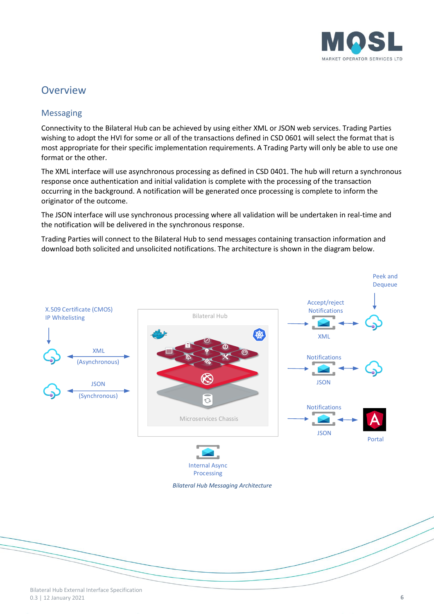

## <span id="page-5-0"></span>**Overview**

#### <span id="page-5-1"></span>**Messaging**

Connectivity to the Bilateral Hub can be achieved by using either XML or JSON web services. Trading Parties wishing to adopt the HVI for some or all of the transactions defined in CSD 0601 will select the format that is most appropriate for their specific implementation requirements. A Trading Party will only be able to use one format or the other.

The XML interface will use asynchronous processing as defined in CSD 0401. The hub will return a synchronous response once authentication and initial validation is complete with the processing of the transaction occurring in the background. A notification will be generated once processing is complete to inform the originator of the outcome.

The JSON interface will use synchronous processing where all validation will be undertaken in real-time and the notification will be delivered in the synchronous response.

Trading Parties will connect to the Bilateral Hub to send messages containing transaction information and download both solicited and unsolicited notifications. The architecture is shown in the diagram below.

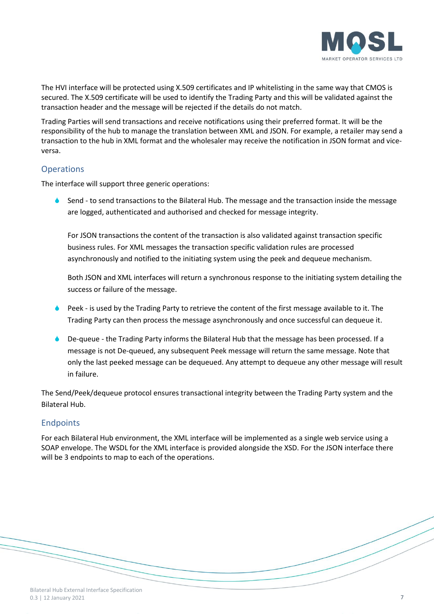

The HVI interface will be protected using X.509 certificates and IP whitelisting in the same way that CMOS is secured. The X.509 certificate will be used to identify the Trading Party and this will be validated against the transaction header and the message will be rejected if the details do not match.

Trading Parties will send transactions and receive notifications using their preferred format. It will be the responsibility of the hub to manage the translation between XML and JSON. For example, a retailer may send a transaction to the hub in XML format and the wholesaler may receive the notification in JSON format and viceversa.

#### <span id="page-6-0"></span>**Operations**

The interface will support three generic operations:

Send - to send transactions to the Bilateral Hub. The message and the transaction inside the message are logged, authenticated and authorised and checked for message integrity.

For JSON transactions the content of the transaction is also validated against transaction specific business rules. For XML messages the transaction specific validation rules are processed asynchronously and notified to the initiating system using the peek and dequeue mechanism.

Both JSON and XML interfaces will return a synchronous response to the initiating system detailing the success or failure of the message.

- Peek is used by the Trading Party to retrieve the content of the first message available to it. The Trading Party can then process the message asynchronously and once successful can dequeue it.
- De-queue the Trading Party informs the Bilateral Hub that the message has been processed. If a message is not De-queued, any subsequent Peek message will return the same message. Note that only the last peeked message can be dequeued. Any attempt to dequeue any other message will result in failure.

The Send/Peek/dequeue protocol ensures transactional integrity between the Trading Party system and the Bilateral Hub.

#### <span id="page-6-1"></span>**Endpoints**

For each Bilateral Hub environment, the XML interface will be implemented as a single web service using a SOAP envelope. The WSDL for the XML interface is provided alongside the XSD. For the JSON interface there will be 3 endpoints to map to each of the operations.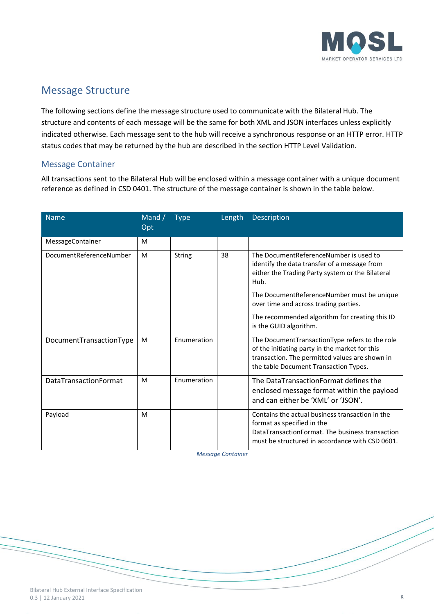

## <span id="page-7-0"></span>Message Structure

The following sections define the message structure used to communicate with the Bilateral Hub. The structure and contents of each message will be the same for both XML and JSON interfaces unless explicitly indicated otherwise. Each message sent to the hub will receive a synchronous response or an HTTP error. HTTP status codes that may be returned by the hub are described in the section HTTP Level Validation.

#### <span id="page-7-1"></span>Message Container

All transactions sent to the Bilateral Hub will be enclosed within a message container with a unique document reference as defined in CSD 0401. The structure of the message container is shown in the table below.

| <b>Name</b>             | Mand /<br>Opt | <b>Type</b>   | Length | Description                                                                                                                                                                                 |
|-------------------------|---------------|---------------|--------|---------------------------------------------------------------------------------------------------------------------------------------------------------------------------------------------|
| MessageContainer        | M             |               |        |                                                                                                                                                                                             |
| DocumentReferenceNumber | M             | <b>String</b> | 38     | The DocumentReferenceNumber is used to<br>identify the data transfer of a message from<br>either the Trading Party system or the Bilateral<br>Hub.                                          |
|                         |               |               |        | The Document Reference Number must be unique<br>over time and across trading parties.                                                                                                       |
|                         |               |               |        | The recommended algorithm for creating this ID<br>is the GUID algorithm.                                                                                                                    |
| DocumentTransactionType | M             | Enumeration   |        | The DocumentTransactionType refers to the role<br>of the initiating party in the market for this<br>transaction. The permitted values are shown in<br>the table Document Transaction Types. |
| DataTransactionFormat   | M             | Enumeration   |        | The DataTransactionFormat defines the<br>enclosed message format within the payload<br>and can either be 'XML' or 'JSON'.                                                                   |
| Payload                 | M             |               |        | Contains the actual business transaction in the<br>format as specified in the<br>DataTransactionFormat. The business transaction<br>must be structured in accordance with CSD 0601.         |

*Message Container*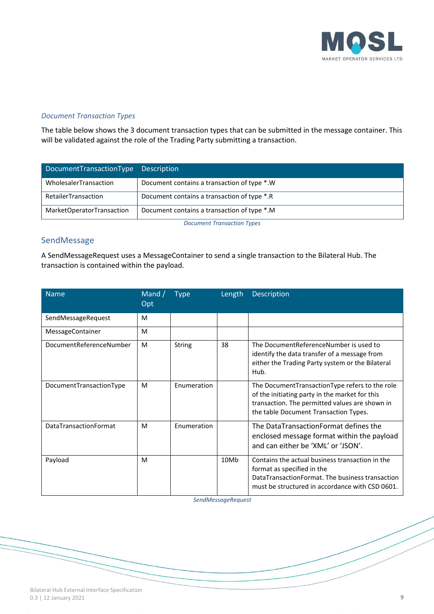

#### *Document Transaction Types*

The table below shows the 3 document transaction types that can be submitted in the message container. This will be validated against the role of the Trading Party submitting a transaction.

| DocumentTransactionType Description |                                             |
|-------------------------------------|---------------------------------------------|
| WholesalerTransaction               | Document contains a transaction of type *.W |
| RetailerTransaction                 | Document contains a transaction of type *.R |
| MarketOperatorTransaction           | Document contains a transaction of type *.M |

*Document Transaction Types*

#### <span id="page-8-0"></span>SendMessage

A SendMessageRequest uses a MessageContainer to send a single transaction to the Bilateral Hub. The transaction is contained within the payload.

| <b>Name</b>             | Mand /<br>Opt | <b>Type</b>   | Length | <b>Description</b>                                                                                                                                                                          |
|-------------------------|---------------|---------------|--------|---------------------------------------------------------------------------------------------------------------------------------------------------------------------------------------------|
| SendMessageRequest      | M             |               |        |                                                                                                                                                                                             |
| MessageContainer        | M             |               |        |                                                                                                                                                                                             |
| DocumentReferenceNumber | M             | <b>String</b> | 38     | The DocumentReferenceNumber is used to<br>identify the data transfer of a message from<br>either the Trading Party system or the Bilateral<br>Hub.                                          |
| DocumentTransactionType | M             | Enumeration   |        | The DocumentTransactionType refers to the role<br>of the initiating party in the market for this<br>transaction. The permitted values are shown in<br>the table Document Transaction Types. |
| DataTransactionFormat   | M             | Enumeration   |        | The DataTransactionFormat defines the<br>enclosed message format within the payload<br>and can either be 'XML' or 'JSON'.                                                                   |
| Payload                 | M             |               | 10Mb   | Contains the actual business transaction in the<br>format as specified in the<br>DataTransactionFormat. The business transaction<br>must be structured in accordance with CSD 0601.         |

*SendMessageRequest*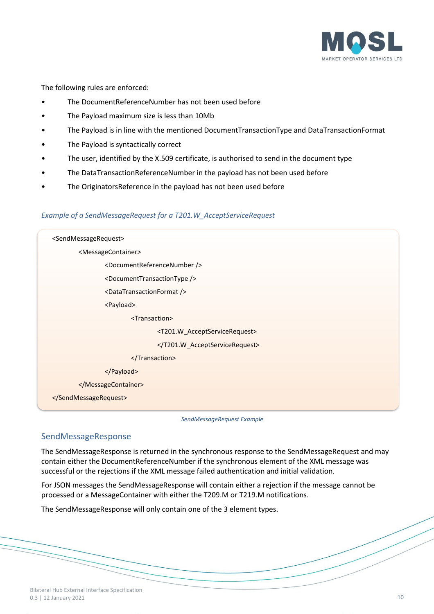

The following rules are enforced:

- The DocumentReferenceNumber has not been used before
- The Payload maximum size is less than 10Mb
- The Payload is in line with the mentioned DocumentTransactionType and DataTransactionFormat
- The Payload is syntactically correct
- The user, identified by the X.509 certificate, is authorised to send in the document type
- The DataTransactionReferenceNumber in the payload has not been used before
- The OriginatorsReference in the payload has not been used before

#### *Example of a SendMessageRequest for a T201.W\_AcceptServiceRequest*



*SendMessageRequest Example*

#### <span id="page-9-0"></span>SendMessageResponse

The SendMessageResponse is returned in the synchronous response to the SendMessageRequest and may contain either the DocumentReferenceNumber if the synchronous element of the XML message was successful or the rejections if the XML message failed authentication and initial validation.

For JSON messages the SendMessageResponse will contain either a rejection if the message cannot be processed or a MessageContainer with either the T209.M or T219.M notifications.

The SendMessageResponse will only contain one of the 3 element types.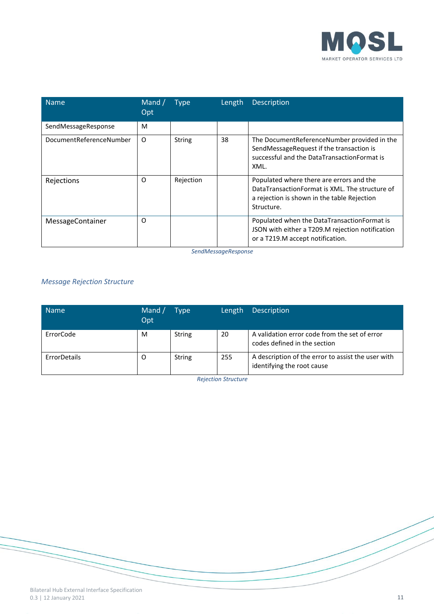

| <b>Name</b>             | Mand $/$<br>Opt | <b>Type</b>   | Length | <b>Description</b>                                                                                                                                      |
|-------------------------|-----------------|---------------|--------|---------------------------------------------------------------------------------------------------------------------------------------------------------|
| SendMessageResponse     | M               |               |        |                                                                                                                                                         |
| DocumentReferenceNumber | $\Omega$        | <b>String</b> | 38     | The DocumentReferenceNumber provided in the<br>SendMessageRequest if the transaction is<br>successful and the DataTransactionFormat is<br>XML.          |
| Rejections              | O               | Rejection     |        | Populated where there are errors and the<br>DataTransactionFormat is XML. The structure of<br>a rejection is shown in the table Rejection<br>Structure. |
| MessageContainer        | O               |               |        | Populated when the DataTransactionFormat is<br>JSON with either a T209.M rejection notification<br>or a T219.M accept notification.                     |

*SendMessageResponse*

## *Message Rejection Structure*

| <b>Name</b>  | Mand /<br>Opt | <b>Type</b>   | Length | <b>Description</b>                                                               |
|--------------|---------------|---------------|--------|----------------------------------------------------------------------------------|
| ErrorCode    | M             | <b>String</b> | 20     | A validation error code from the set of error<br>codes defined in the section    |
| ErrorDetails | O             | <b>String</b> | 255    | A description of the error to assist the user with<br>identifying the root cause |

*Rejection Structure*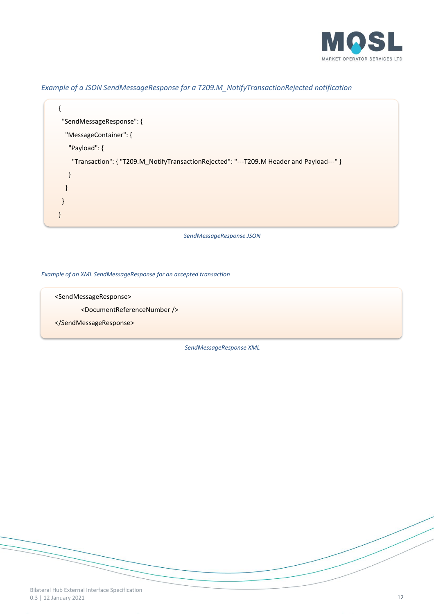

*Example of a JSON SendMessageResponse for a T209.M\_NotifyTransactionRejected notification*

{ "SendMessageResponse": { "MessageContainer": { "Payload": { "Transaction": { "T209.M\_NotifyTransactionRejected": "---T209.M Header and Payload---" } } } } }

*SendMessageResponse JSON*

*Example of an XML SendMessageResponse for an accepted transaction*

<SendMessageResponse> <DocumentReferenceNumber /> </SendMessageResponse>

*SendMessageResponse XML*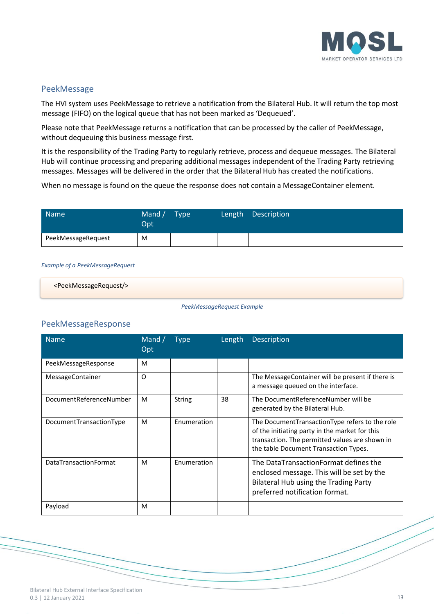

#### <span id="page-12-0"></span>PeekMessage

The HVI system uses PeekMessage to retrieve a notification from the Bilateral Hub. It will return the top most message (FIFO) on the logical queue that has not been marked as 'Dequeued'.

Please note that PeekMessage returns a notification that can be processed by the caller of PeekMessage, without dequeuing this business message first.

It is the responsibility of the Trading Party to regularly retrieve, process and dequeue messages. The Bilateral Hub will continue processing and preparing additional messages independent of the Trading Party retrieving messages. Messages will be delivered in the order that the Bilateral Hub has created the notifications.

When no message is found on the queue the response does not contain a MessageContainer element.

| <b>Name</b>        | Mand /<br>Opt | <b>Type</b> | Length | Description |
|--------------------|---------------|-------------|--------|-------------|
| PeekMessageRequest | M             |             |        |             |

*Example of a PeekMessageRequest*

| <peekmessagerequest></peekmessagerequest> |  |  |  |
|-------------------------------------------|--|--|--|
|                                           |  |  |  |

*PeekMessageRequest Example*

#### <span id="page-12-1"></span>PeekMessageResponse

| <b>Name</b>                  | Mand /<br>Opt | <b>Type</b>   | Length | <b>Description</b>                                                                                                                                                                          |
|------------------------------|---------------|---------------|--------|---------------------------------------------------------------------------------------------------------------------------------------------------------------------------------------------|
| PeekMessageResponse          | M             |               |        |                                                                                                                                                                                             |
| <b>MessageContainer</b>      | $\Omega$      |               |        | The Message Container will be present if there is<br>a message queued on the interface.                                                                                                     |
| DocumentReferenceNumber      | M             | <b>String</b> | 38     | The DocumentReferenceNumber will be<br>generated by the Bilateral Hub.                                                                                                                      |
| DocumentTransactionType      | M             | Enumeration   |        | The DocumentTransactionType refers to the role<br>of the initiating party in the market for this<br>transaction. The permitted values are shown in<br>the table Document Transaction Types. |
| <b>DataTransactionFormat</b> | M             | Enumeration   |        | The DataTransactionFormat defines the<br>enclosed message. This will be set by the<br>Bilateral Hub using the Trading Party<br>preferred notification format.                               |
| Payload                      | M             |               |        |                                                                                                                                                                                             |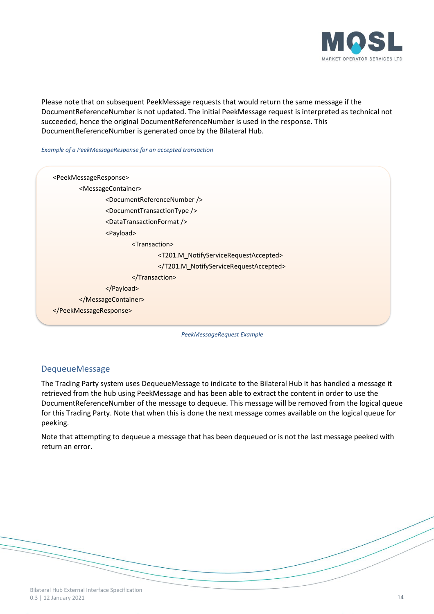

Please note that on subsequent PeekMessage requests that would return the same message if the DocumentReferenceNumber is not updated. The initial PeekMessage request is interpreted as technical not succeeded, hence the original DocumentReferenceNumber is used in the response. This DocumentReferenceNumber is generated once by the Bilateral Hub.

*Example of a PeekMessageResponse for an accepted transaction*

| <peekmessageresponse></peekmessageresponse>         |  |
|-----------------------------------------------------|--|
| <messagecontainer></messagecontainer>               |  |
| <documentreferencenumber></documentreferencenumber> |  |
| <documenttransactiontype></documenttransactiontype> |  |
| <datatransactionformat></datatransactionformat>     |  |
| <payload></payload>                                 |  |
| <transaction></transaction>                         |  |
| <t201.m notifyservicerequestaccepted=""></t201.m>   |  |
|                                                     |  |
|                                                     |  |
|                                                     |  |
|                                                     |  |
|                                                     |  |
|                                                     |  |

*PeekMessageRequest Example*

### <span id="page-13-0"></span>DequeueMessage

The Trading Party system uses DequeueMessage to indicate to the Bilateral Hub it has handled a message it retrieved from the hub using PeekMessage and has been able to extract the content in order to use the DocumentReferenceNumber of the message to dequeue. This message will be removed from the logical queue for this Trading Party. Note that when this is done the next message comes available on the logical queue for peeking.

Note that attempting to dequeue a message that has been dequeued or is not the last message peeked with return an error.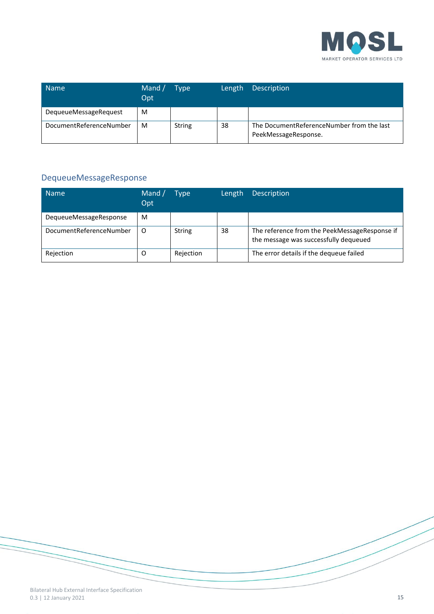

| <b>Name</b>             | Mand /<br>Opt | <b>Type</b>   | Length | <b>Description</b>                                                |
|-------------------------|---------------|---------------|--------|-------------------------------------------------------------------|
| DequeueMessageRequest   | M             |               |        |                                                                   |
| DocumentReferenceNumber | M             | <b>String</b> | 38     | The DocumentReferenceNumber from the last<br>PeekMessageResponse. |

## DequeueMessageResponse

| <b>Name</b>             | Mand /<br>Opt | Type          | Length | <b>Description</b>                                                                     |
|-------------------------|---------------|---------------|--------|----------------------------------------------------------------------------------------|
| DequeueMessageResponse  | M             |               |        |                                                                                        |
| DocumentReferenceNumber | $\circ$       | <b>String</b> | 38     | The reference from the PeekMessageResponse if<br>the message was successfully dequeued |
| Rejection               | O             | Rejection     |        | The error details if the dequeue failed                                                |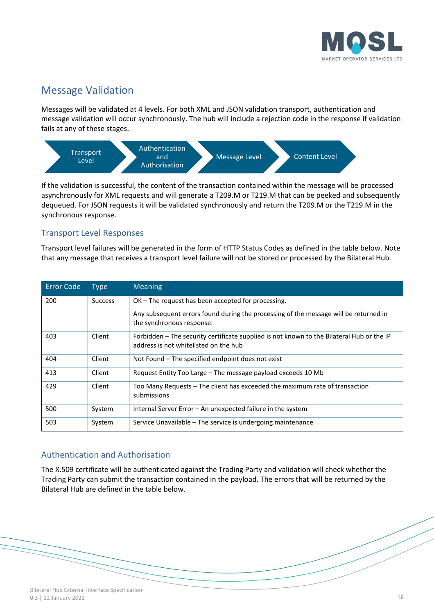

## <span id="page-15-0"></span>Message Validation

Messages will be validated at 4 levels. For both XML and JSON validation transport, authentication and message validation will occur synchronously. The hub will include a rejection code in the response if validation fails at any of these stages.



If the validation is successful, the content of the transaction contained within the message will be processed asynchronously for XML requests and will generate a T209.M or T219.M that can be peeked and subsequently dequeued. For JSON requests it will be validated synchronously and return the T209.M or the T219.M in the synchronous response.

### <span id="page-15-1"></span>Transport Level Responses

Transport level failures will be generated in the form of HTTP Status Codes as defined in the table below. Note that any message that receives a transport level failure will not be stored or processed by the Bilateral Hub.

| <b>Error Code</b> | <b>Type</b>    | <b>Meaning</b>                                                                                                                     |
|-------------------|----------------|------------------------------------------------------------------------------------------------------------------------------------|
| 200               | <b>Success</b> | OK – The request has been accepted for processing.                                                                                 |
|                   |                | Any subsequent errors found during the processing of the message will be returned in<br>the synchronous response.                  |
| 403               | Client         | Forbidden – The security certificate supplied is not known to the Bilateral Hub or the IP<br>address is not whitelisted on the hub |
| 404               | Client         | Not Found – The specified endpoint does not exist                                                                                  |
| 413               | Client         | Request Entity Too Large - The message payload exceeds 10 Mb                                                                       |
| 429               | Client         | Too Many Requests – The client has exceeded the maximum rate of transaction<br>submissions                                         |
| 500               | System         | Internal Server Error - An unexpected failure in the system                                                                        |
| 503               | System         | Service Unavailable – The service is undergoing maintenance                                                                        |

### <span id="page-15-2"></span>Authentication and Authorisation

The X.509 certificate will be authenticated against the Trading Party and validation will check whether the Trading Party can submit the transaction contained in the payload. The errors that will be returned by the Bilateral Hub are defined in the table below.